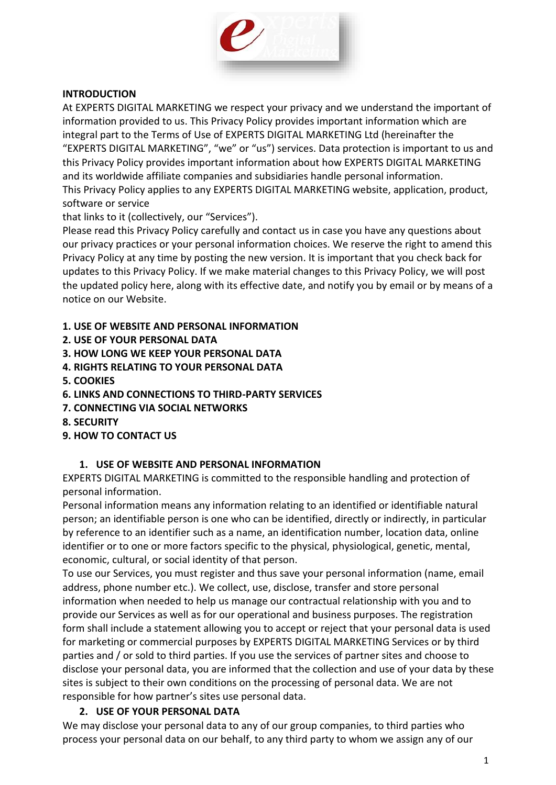

### **INTRODUCTION**

At EXPERTS DIGITAL MARKETING we respect your privacy and we understand the important of information provided to us. This Privacy Policy provides important information which are integral part to the Terms of Use of EXPERTS DIGITAL MARKETING Ltd (hereinafter the "EXPERTS DIGITAL MARKETING", "we" or "us") services. Data protection is important to us and this Privacy Policy provides important information about how EXPERTS DIGITAL MARKETING and its worldwide affiliate companies and subsidiaries handle personal information. This Privacy Policy applies to any EXPERTS DIGITAL MARKETING website, application, product, software or service

that links to it (collectively, our "Services").

Please read this Privacy Policy carefully and contact us in case you have any questions about our privacy practices or your personal information choices. We reserve the right to amend this Privacy Policy at any time by posting the new version. It is important that you check back for updates to this Privacy Policy. If we make material changes to this Privacy Policy, we will post the updated policy here, along with its effective date, and notify you by email or by means of a notice on our Website.

**1. USE OF WEBSITE AND PERSONAL INFORMATION**

- **2. USE OF YOUR PERSONAL DATA**
- **3. HOW LONG WE KEEP YOUR PERSONAL DATA**
- **4. RIGHTS RELATING TO YOUR PERSONAL DATA**
- **5. COOKIES**
- **6. LINKS AND CONNECTIONS TO THIRD-PARTY SERVICES**
- **7. CONNECTING VIA SOCIAL NETWORKS**
- **8. SECURITY**
- **9. HOW TO CONTACT US**

### **1. USE OF WEBSITE AND PERSONAL INFORMATION**

EXPERTS DIGITAL MARKETING is committed to the responsible handling and protection of personal information.

Personal information means any information relating to an identified or identifiable natural person; an identifiable person is one who can be identified, directly or indirectly, in particular by reference to an identifier such as a name, an identification number, location data, online identifier or to one or more factors specific to the physical, physiological, genetic, mental, economic, cultural, or social identity of that person.

To use our Services, you must register and thus save your personal information (name, email address, phone number etc.). We collect, use, disclose, transfer and store personal information when needed to help us manage our contractual relationship with you and to provide our Services as well as for our operational and business purposes. The registration form shall include a statement allowing you to accept or reject that your personal data is used for marketing or commercial purposes by EXPERTS DIGITAL MARKETING Services or by third parties and / or sold to third parties. If you use the services of partner sites and choose to disclose your personal data, you are informed that the collection and use of your data by these sites is subject to their own conditions on the processing of personal data. We are not responsible for how partner's sites use personal data.

### **2. USE OF YOUR PERSONAL DATA**

We may disclose your personal data to any of our group companies, to third parties who process your personal data on our behalf, to any third party to whom we assign any of our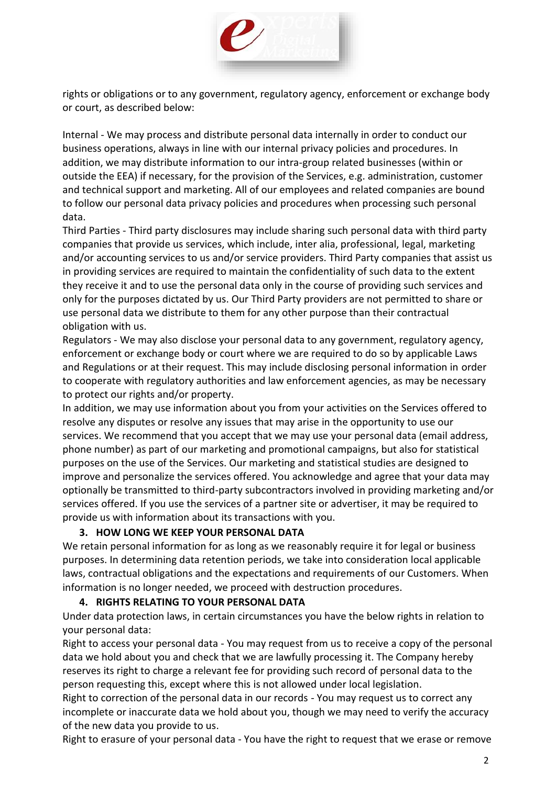

rights or obligations or to any government, regulatory agency, enforcement or exchange body or court, as described below:

Internal - We may process and distribute personal data internally in order to conduct our business operations, always in line with our internal privacy policies and procedures. In addition, we may distribute information to our intra-group related businesses (within or outside the EEA) if necessary, for the provision of the Services, e.g. administration, customer and technical support and marketing. All of our employees and related companies are bound to follow our personal data privacy policies and procedures when processing such personal data.

Third Parties - Third party disclosures may include sharing such personal data with third party companies that provide us services, which include, inter alia, professional, legal, marketing and/or accounting services to us and/or service providers. Third Party companies that assist us in providing services are required to maintain the confidentiality of such data to the extent they receive it and to use the personal data only in the course of providing such services and only for the purposes dictated by us. Our Third Party providers are not permitted to share or use personal data we distribute to them for any other purpose than their contractual obligation with us.

Regulators - We may also disclose your personal data to any government, regulatory agency, enforcement or exchange body or court where we are required to do so by applicable Laws and Regulations or at their request. This may include disclosing personal information in order to cooperate with regulatory authorities and law enforcement agencies, as may be necessary to protect our rights and/or property.

In addition, we may use information about you from your activities on the Services offered to resolve any disputes or resolve any issues that may arise in the opportunity to use our services. We recommend that you accept that we may use your personal data (email address, phone number) as part of our marketing and promotional campaigns, but also for statistical purposes on the use of the Services. Our marketing and statistical studies are designed to improve and personalize the services offered. You acknowledge and agree that your data may optionally be transmitted to third-party subcontractors involved in providing marketing and/or services offered. If you use the services of a partner site or advertiser, it may be required to provide us with information about its transactions with you.

### **3. HOW LONG WE KEEP YOUR PERSONAL DATA**

We retain personal information for as long as we reasonably require it for legal or business purposes. In determining data retention periods, we take into consideration local applicable laws, contractual obligations and the expectations and requirements of our Customers. When information is no longer needed, we proceed with destruction procedures.

### **4. RIGHTS RELATING TO YOUR PERSONAL DATA**

Under data protection laws, in certain circumstances you have the below rights in relation to your personal data:

Right to access your personal data - You may request from us to receive a copy of the personal data we hold about you and check that we are lawfully processing it. The Company hereby reserves its right to charge a relevant fee for providing such record of personal data to the person requesting this, except where this is not allowed under local legislation.

Right to correction of the personal data in our records - You may request us to correct any incomplete or inaccurate data we hold about you, though we may need to verify the accuracy of the new data you provide to us.

Right to erasure of your personal data - You have the right to request that we erase or remove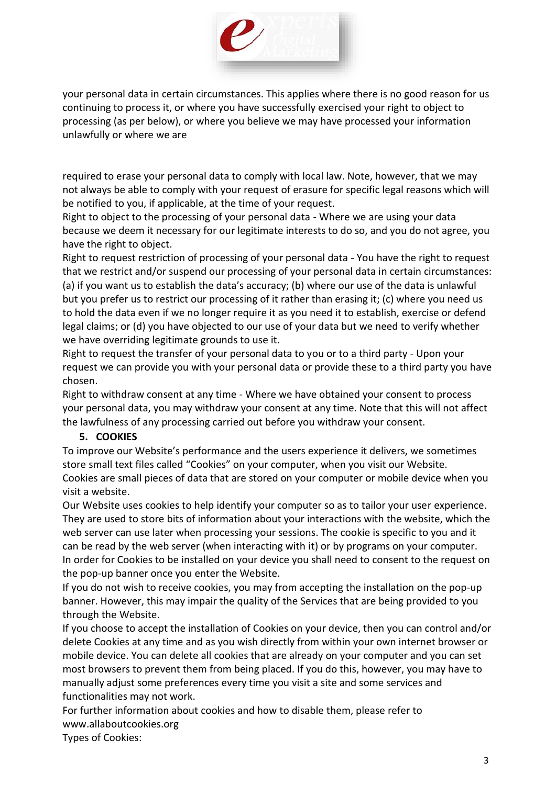

your personal data in certain circumstances. This applies where there is no good reason for us continuing to process it, or where you have successfully exercised your right to object to processing (as per below), or where you believe we may have processed your information unlawfully or where we are

required to erase your personal data to comply with local law. Note, however, that we may not always be able to comply with your request of erasure for specific legal reasons which will be notified to you, if applicable, at the time of your request.

Right to object to the processing of your personal data - Where we are using your data because we deem it necessary for our legitimate interests to do so, and you do not agree, you have the right to object.

Right to request restriction of processing of your personal data - You have the right to request that we restrict and/or suspend our processing of your personal data in certain circumstances: (a) if you want us to establish the data's accuracy; (b) where our use of the data is unlawful but you prefer us to restrict our processing of it rather than erasing it; (c) where you need us to hold the data even if we no longer require it as you need it to establish, exercise or defend legal claims; or (d) you have objected to our use of your data but we need to verify whether we have overriding legitimate grounds to use it.

Right to request the transfer of your personal data to you or to a third party - Upon your request we can provide you with your personal data or provide these to a third party you have chosen.

Right to withdraw consent at any time - Where we have obtained your consent to process your personal data, you may withdraw your consent at any time. Note that this will not affect the lawfulness of any processing carried out before you withdraw your consent.

# **5. COOKIES**

To improve our Website's performance and the users experience it delivers, we sometimes store small text files called "Cookies" on your computer, when you visit our Website. Cookies are small pieces of data that are stored on your computer or mobile device when you visit a website.

Our Website uses cookies to help identify your computer so as to tailor your user experience. They are used to store bits of information about your interactions with the website, which the web server can use later when processing your sessions. The cookie is specific to you and it can be read by the web server (when interacting with it) or by programs on your computer. In order for Cookies to be installed on your device you shall need to consent to the request on the pop-up banner once you enter the Website.

If you do not wish to receive cookies, you may from accepting the installation on the pop-up banner. However, this may impair the quality of the Services that are being provided to you through the Website.

If you choose to accept the installation of Cookies on your device, then you can control and/or delete Cookies at any time and as you wish directly from within your own internet browser or mobile device. You can delete all cookies that are already on your computer and you can set most browsers to prevent them from being placed. If you do this, however, you may have to manually adjust some preferences every time you visit a site and some services and functionalities may not work.

For further information about cookies and how to disable them, please refer to www.allaboutcookies.org

Types of Cookies: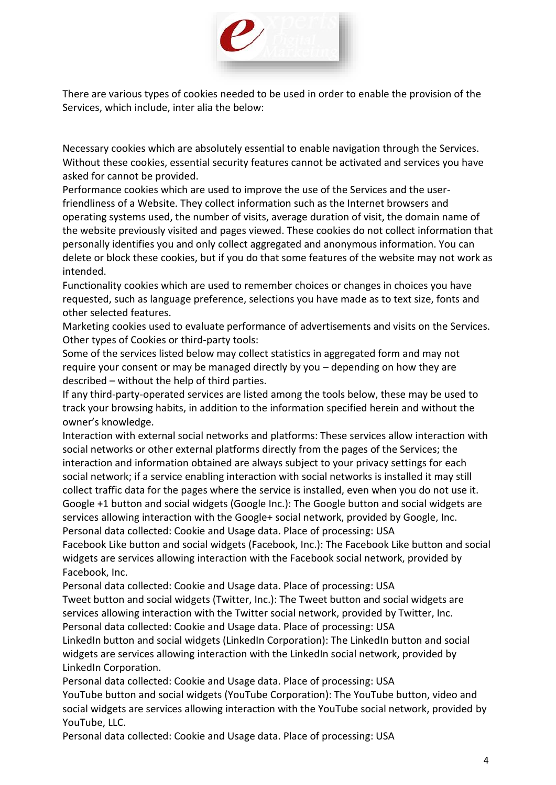

There are various types of cookies needed to be used in order to enable the provision of the Services, which include, inter alia the below:

Necessary cookies which are absolutely essential to enable navigation through the Services. Without these cookies, essential security features cannot be activated and services you have asked for cannot be provided.

Performance cookies which are used to improve the use of the Services and the userfriendliness of a Website. They collect information such as the Internet browsers and operating systems used, the number of visits, average duration of visit, the domain name of the website previously visited and pages viewed. These cookies do not collect information that personally identifies you and only collect aggregated and anonymous information. You can delete or block these cookies, but if you do that some features of the website may not work as intended.

Functionality cookies which are used to remember choices or changes in choices you have requested, such as language preference, selections you have made as to text size, fonts and other selected features.

Marketing cookies used to evaluate performance of advertisements and visits on the Services. Other types of Cookies or third-party tools:

Some of the services listed below may collect statistics in aggregated form and may not require your consent or may be managed directly by you – depending on how they are described – without the help of third parties.

If any third-party-operated services are listed among the tools below, these may be used to track your browsing habits, in addition to the information specified herein and without the owner's knowledge.

Interaction with external social networks and platforms: These services allow interaction with social networks or other external platforms directly from the pages of the Services; the interaction and information obtained are always subject to your privacy settings for each social network; if a service enabling interaction with social networks is installed it may still collect traffic data for the pages where the service is installed, even when you do not use it. Google +1 button and social widgets (Google Inc.): The Google button and social widgets are services allowing interaction with the Google+ social network, provided by Google, Inc. Personal data collected: Cookie and Usage data. Place of processing: USA

Facebook Like button and social widgets (Facebook, Inc.): The Facebook Like button and social widgets are services allowing interaction with the Facebook social network, provided by Facebook, Inc.

Personal data collected: Cookie and Usage data. Place of processing: USA

Tweet button and social widgets (Twitter, Inc.): The Tweet button and social widgets are services allowing interaction with the Twitter social network, provided by Twitter, Inc. Personal data collected: Cookie and Usage data. Place of processing: USA

LinkedIn button and social widgets (LinkedIn Corporation): The LinkedIn button and social widgets are services allowing interaction with the LinkedIn social network, provided by LinkedIn Corporation.

Personal data collected: Cookie and Usage data. Place of processing: USA

YouTube button and social widgets (YouTube Corporation): The YouTube button, video and social widgets are services allowing interaction with the YouTube social network, provided by YouTube, LLC.

Personal data collected: Cookie and Usage data. Place of processing: USA